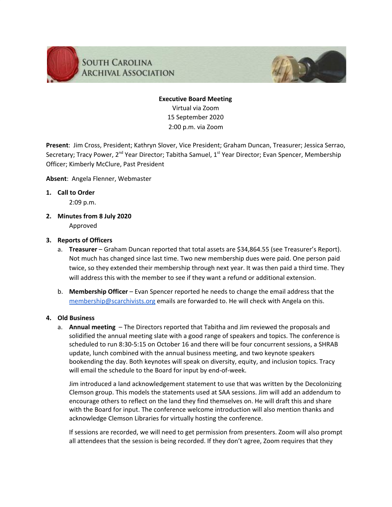



**Present**: Jim Cross, President; Kathryn Slover, Vice President; Graham Duncan, Treasurer; Jessica Serrao, Secretary; Tracy Power, 2<sup>nd</sup> Year Director; Tabitha Samuel, 1<sup>st</sup> Year Director; Evan Spencer, Membership Officer; Kimberly McClure, Past President

### **Absent**: Angela Flenner, Webmaster

**1. Call to Order**

2:09 p.m.

**2. Minutes from 8 July 2020** Approved

### **3. Reports of Officers**

- a. **Treasurer** Graham Duncan reported that total assets are \$34,864.55 (see Treasurer's Report). Not much has changed since last time. Two new membership dues were paid. One person paid twice, so they extended their membership through next year. It was then paid a third time. They will address this with the member to see if they want a refund or additional extension.
- b. **Membership Officer** Evan Spencer reported he needs to change the email address that the [membership@scarchivists.org](mailto:membership@scarchivists.org) emails are forwarded to. He will check with Angela on this.

# **4. Old Business**

a. **Annual meeting** – The Directors reported that Tabitha and Jim reviewed the proposals and solidified the annual meeting slate with a good range of speakers and topics. The conference is scheduled to run 8:30-5:15 on October 16 and there will be four concurrent sessions, a SHRAB update, lunch combined with the annual business meeting, and two keynote speakers bookending the day. Both keynotes will speak on diversity, equity, and inclusion topics. Tracy will email the schedule to the Board for input by end-of-week.

Jim introduced a land acknowledgement statement to use that was written by the Decolonizing Clemson group. This models the statements used at SAA sessions. Jim will add an addendum to encourage others to reflect on the land they find themselves on. He will draft this and share with the Board for input. The conference welcome introduction will also mention thanks and acknowledge Clemson Libraries for virtually hosting the conference.

If sessions are recorded, we will need to get permission from presenters. Zoom will also prompt all attendees that the session is being recorded. If they don't agree, Zoom requires that they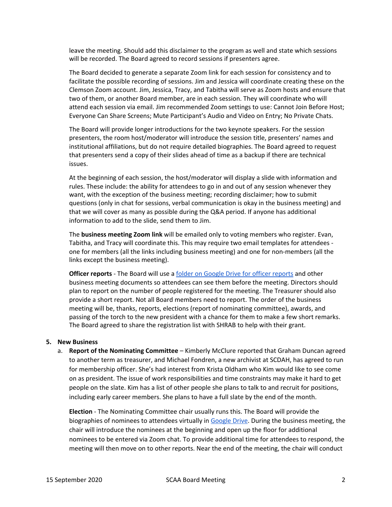leave the meeting. Should add this disclaimer to the program as well and state which sessions will be recorded. The Board agreed to record sessions if presenters agree.

The Board decided to generate a separate Zoom link for each session for consistency and to facilitate the possible recording of sessions. Jim and Jessica will coordinate creating these on the Clemson Zoom account. Jim, Jessica, Tracy, and Tabitha will serve as Zoom hosts and ensure that two of them, or another Board member, are in each session. They will coordinate who will attend each session via email. Jim recommended Zoom settings to use: Cannot Join Before Host; Everyone Can Share Screens; Mute Participant's Audio and Video on Entry; No Private Chats.

The Board will provide longer introductions for the two keynote speakers. For the session presenters, the room host/moderator will introduce the session title, presenters' names and institutional affiliations, but do not require detailed biographies. The Board agreed to request that presenters send a copy of their slides ahead of time as a backup if there are technical issues.

At the beginning of each session, the host/moderator will display a slide with information and rules. These include: the ability for attendees to go in and out of any session whenever they want, with the exception of the business meeting; recording disclaimer; how to submit questions (only in chat for sessions, verbal communication is okay in the business meeting) and that we will cover as many as possible during the Q&A period. If anyone has additional information to add to the slide, send them to Jim.

The **business meeting Zoom link** will be emailed only to voting members who register. Evan, Tabitha, and Tracy will coordinate this. This may require two email templates for attendees one for members (all the links including business meeting) and one for non-members (all the links except the business meeting).

**Officer reports** - The Board will use a folder on Google Drive for officer [reports](https://drive.google.com/drive/folders/1R-o_3sxEZfUsgr8vDddAfw9B8k0WRlDn?usp=sharing) and other business meeting documents so attendees can see them before the meeting. Directors should plan to report on the number of people registered for the meeting. The Treasurer should also provide a short report. Not all Board members need to report. The order of the business meeting will be, thanks, reports, elections (report of nominating committee), awards, and passing of the torch to the new president with a chance for them to make a few short remarks. The Board agreed to share the registration list with SHRAB to help with their grant.

#### **5. New Business**

a. **Report of the Nominating Committee** – Kimberly McClure reported that Graham Duncan agreed to another term as treasurer, and Michael Fondren, a new archivist at SCDAH, has agreed to run for membership officer. She's had interest from Krista Oldham who Kim would like to see come on as president. The issue of work responsibilities and time constraints may make it hard to get people on the slate. Kim has a list of other people she plans to talk to and recruit for positions, including early career members. She plans to have a full slate by the end of the month.

**Election** - The Nominating Committee chair usually runs this. The Board will provide the biographies of nominees to attendees virtually in [Google](https://drive.google.com/drive/folders/1R-o_3sxEZfUsgr8vDddAfw9B8k0WRlDn?usp=sharing) Drive. During the business meeting, the chair will introduce the nominees at the beginning and open up the floor for additional nominees to be entered via Zoom chat. To provide additional time for attendees to respond, the meeting will then move on to other reports. Near the end of the meeting, the chair will conduct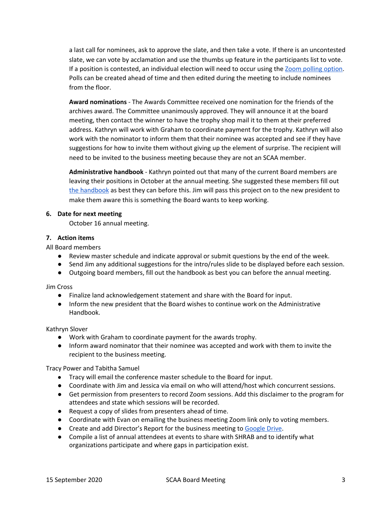a last call for nominees, ask to approve the slate, and then take a vote. If there is an uncontested slate, we can vote by acclamation and use the thumbs up feature in the participants list to vote. If a position is contested, an individual election will need to occur using the Zoom [polling](https://support.zoom.us/hc/en-us/articles/213756303-Polling-for-meetings) option. Polls can be created ahead of time and then edited during the meeting to include nominees from the floor.

**Award nominations** - The Awards Committee received one nomination for the friends of the archives award. The Committee unanimously approved. They will announce it at the board meeting, then contact the winner to have the trophy shop mail it to them at their preferred address. Kathryn will work with Graham to coordinate payment for the trophy. Kathryn will also work with the nominator to inform them that their nominee was accepted and see if they have suggestions for how to invite them without giving up the element of surprise. The recipient will need to be invited to the business meeting because they are not an SCAA member.

**Administrative handbook** - Kathryn pointed out that many of the current Board members are leaving their positions in October at the annual meeting. She suggested these members fill out the [handbook](https://docs.google.com/document/d/1GqIwXeciwWdVpDZyyTR2nfHuvIpxtTQbAkWSI4hm2sI/edit?usp=sharing) as best they can before this. Jim will pass this project on to the new president to make them aware this is something the Board wants to keep working.

# **6. Date for next meeting**

October 16 annual meeting.

### **7. Action items**

All Board members

- Review master schedule and indicate approval or submit questions by the end of the week.
- Send Jim any additional suggestions for the intro/rules slide to be displayed before each session.
- Outgoing board members, fill out the handbook as best you can before the annual meeting.

Jim Cross

- Finalize land acknowledgement statement and share with the Board for input.
- Inform the new president that the Board wishes to continue work on the Administrative Handbook.

# Kathryn Slover

- Work with Graham to coordinate payment for the awards trophy.
- Inform award nominator that their nominee was accepted and work with them to invite the recipient to the business meeting.

Tracy Power and Tabitha Samuel

- Tracy will email the conference master schedule to the Board for input.
- Coordinate with Jim and Jessica via email on who will attend/host which concurrent sessions.
- Get permission from presenters to record Zoom sessions. Add this disclaimer to the program for attendees and state which sessions will be recorded.
- Request a copy of slides from presenters ahead of time.
- Coordinate with Evan on emailing the business meeting Zoom link only to voting members.
- Create and add Director's Report for the business meeting to [Google](https://drive.google.com/drive/folders/1R-o_3sxEZfUsgr8vDddAfw9B8k0WRlDn?usp=sharing) Drive.
- Compile a list of annual attendees at events to share with SHRAB and to identify what organizations participate and where gaps in participation exist.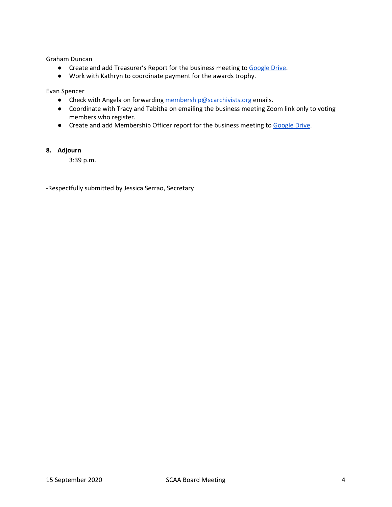Graham Duncan

- Create and add Treasurer's Report for the business meeting to [Google](https://drive.google.com/drive/folders/1R-o_3sxEZfUsgr8vDddAfw9B8k0WRlDn?usp=sharing) Drive.
- Work with Kathryn to coordinate payment for the awards trophy.

Evan Spencer

- Check with Angela on forwarding [membership@scarchivists.org](mailto:membership@scarchivists.org) emails.
- Coordinate with Tracy and Tabitha on emailing the business meeting Zoom link only to voting members who register.
- Create and add Membership Officer report for the business meeting to [Google](https://drive.google.com/drive/folders/1R-o_3sxEZfUsgr8vDddAfw9B8k0WRlDn?usp=sharing) Drive.

# **8. Adjourn**

3:39 p.m.

-Respectfully submitted by Jessica Serrao, Secretary